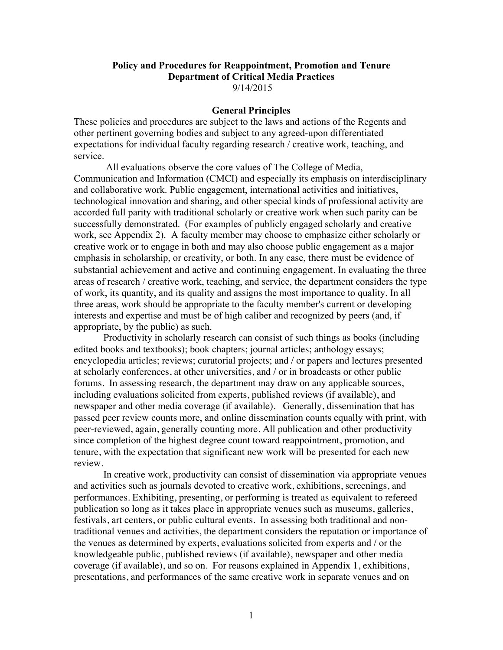## **Policy and Procedures for Reappointment, Promotion and Tenure Department of Critical Media Practices** 9/14/2015

### **General Principles**

These policies and procedures are subject to the laws and actions of the Regents and other pertinent governing bodies and subject to any agreed-upon differentiated expectations for individual faculty regarding research / creative work, teaching, and service.

All evaluations observe the core values of The College of Media, Communication and Information (CMCI) and especially its emphasis on interdisciplinary and collaborative work. Public engagement, international activities and initiatives, technological innovation and sharing, and other special kinds of professional activity are accorded full parity with traditional scholarly or creative work when such parity can be successfully demonstrated. (For examples of publicly engaged scholarly and creative work, see Appendix 2). A faculty member may choose to emphasize either scholarly or creative work or to engage in both and may also choose public engagement as a major emphasis in scholarship, or creativity, or both. In any case, there must be evidence of substantial achievement and active and continuing engagement. In evaluating the three areas of research / creative work, teaching, and service, the department considers the type of work, its quantity, and its quality and assigns the most importance to quality. In all three areas, work should be appropriate to the faculty member's current or developing interests and expertise and must be of high caliber and recognized by peers (and, if appropriate, by the public) as such.

Productivity in scholarly research can consist of such things as books (including edited books and textbooks); book chapters; journal articles; anthology essays; encyclopedia articles; reviews; curatorial projects; and / or papers and lectures presented at scholarly conferences, at other universities, and / or in broadcasts or other public forums. In assessing research, the department may draw on any applicable sources, including evaluations solicited from experts, published reviews (if available), and newspaper and other media coverage (if available). Generally, dissemination that has passed peer review counts more, and online dissemination counts equally with print, with peer-reviewed, again, generally counting more. All publication and other productivity since completion of the highest degree count toward reappointment, promotion, and tenure, with the expectation that significant new work will be presented for each new review.

In creative work, productivity can consist of dissemination via appropriate venues and activities such as journals devoted to creative work, exhibitions, screenings, and performances. Exhibiting, presenting, or performing is treated as equivalent to refereed publication so long as it takes place in appropriate venues such as museums, galleries, festivals, art centers, or public cultural events. In assessing both traditional and nontraditional venues and activities, the department considers the reputation or importance of the venues as determined by experts, evaluations solicited from experts and / or the knowledgeable public, published reviews (if available), newspaper and other media coverage (if available), and so on. For reasons explained in Appendix 1, exhibitions, presentations, and performances of the same creative work in separate venues and on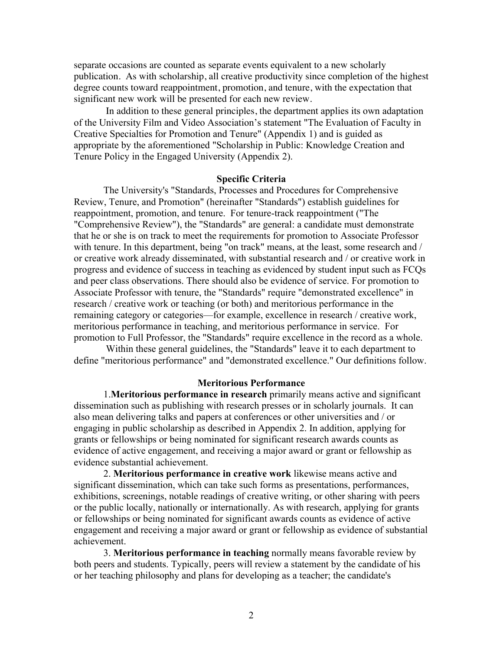separate occasions are counted as separate events equivalent to a new scholarly publication. As with scholarship, all creative productivity since completion of the highest degree counts toward reappointment, promotion, and tenure, with the expectation that significant new work will be presented for each new review.

In addition to these general principles, the department applies its own adaptation of the University Film and Video Association's statement "The Evaluation of Faculty in Creative Specialties for Promotion and Tenure" (Appendix 1) and is guided as appropriate by the aforementioned "Scholarship in Public: Knowledge Creation and Tenure Policy in the Engaged University (Appendix 2).

#### **Specific Criteria**

The University's "Standards, Processes and Procedures for Comprehensive Review, Tenure, and Promotion" (hereinafter "Standards") establish guidelines for reappointment, promotion, and tenure. For tenure-track reappointment ("The "Comprehensive Review"), the "Standards" are general: a candidate must demonstrate that he or she is on track to meet the requirements for promotion to Associate Professor with tenure. In this department, being "on track" means, at the least, some research and / or creative work already disseminated, with substantial research and / or creative work in progress and evidence of success in teaching as evidenced by student input such as FCQs and peer class observations. There should also be evidence of service. For promotion to Associate Professor with tenure, the "Standards" require "demonstrated excellence" in research / creative work or teaching (or both) and meritorious performance in the remaining category or categories––for example, excellence in research / creative work, meritorious performance in teaching, and meritorious performance in service. For promotion to Full Professor, the "Standards" require excellence in the record as a whole.

Within these general guidelines, the "Standards" leave it to each department to define "meritorious performance" and "demonstrated excellence." Our definitions follow.

#### **Meritorious Performance**

1.**Meritorious performance in research** primarily means active and significant dissemination such as publishing with research presses or in scholarly journals.It can also mean delivering talks and papers at conferences or other universities and / or engaging in public scholarship as described in Appendix 2. In addition, applying for grants or fellowships or being nominated for significant research awards counts as evidence of active engagement, and receiving a major award or grant or fellowship as evidence substantial achievement.

2. **Meritorious performance in creative work** likewise means active and significant dissemination, which can take such forms as presentations, performances, exhibitions, screenings, notable readings of creative writing, or other sharing with peers or the public locally, nationally or internationally. As with research, applying for grants or fellowships or being nominated for significant awards counts as evidence of active engagement and receiving a major award or grant or fellowship as evidence of substantial achievement.

3. **Meritorious performance in teaching** normally means favorable review by both peers and students. Typically, peers will review a statement by the candidate of his or her teaching philosophy and plans for developing as a teacher; the candidate's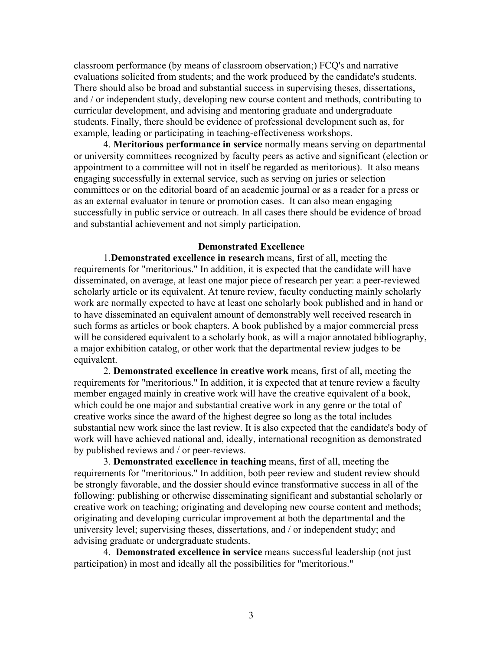classroom performance (by means of classroom observation;) FCQ's and narrative evaluations solicited from students; and the work produced by the candidate's students. There should also be broad and substantial success in supervising theses, dissertations, and / or independent study, developing new course content and methods, contributing to curricular development, and advising and mentoring graduate and undergraduate students. Finally, there should be evidence of professional development such as, for example, leading or participating in teaching-effectiveness workshops.

4. **Meritorious performance in service** normally means serving on departmental or university committees recognized by faculty peers as active and significant (election or appointment to a committee will not in itself be regarded as meritorious). It also means engaging successfully in external service, such as serving on juries or selection committees or on the editorial board of an academic journal or as a reader for a press or as an external evaluator in tenure or promotion cases. It can also mean engaging successfully in public service or outreach. In all cases there should be evidence of broad and substantial achievement and not simply participation.

#### **Demonstrated Excellence**

1.**Demonstrated excellence in research** means, first of all, meeting the requirements for "meritorious." In addition, it is expected that the candidate will have disseminated, on average, at least one major piece of research per year: a peer-reviewed scholarly article or its equivalent. At tenure review, faculty conducting mainly scholarly work are normally expected to have at least one scholarly book published and in hand or to have disseminated an equivalent amount of demonstrably well received research in such forms as articles or book chapters. A book published by a major commercial press will be considered equivalent to a scholarly book, as will a major annotated bibliography, a major exhibition catalog, or other work that the departmental review judges to be equivalent.

2. **Demonstrated excellence in creative work** means, first of all, meeting the requirements for "meritorious." In addition, it is expected that at tenure review a faculty member engaged mainly in creative work will have the creative equivalent of a book, which could be one major and substantial creative work in any genre or the total of creative works since the award of the highest degree so long as the total includes substantial new work since the last review. It is also expected that the candidate's body of work will have achieved national and, ideally, international recognition as demonstrated by published reviews and / or peer-reviews.

3. **Demonstrated excellence in teaching** means, first of all, meeting the requirements for "meritorious." In addition, both peer review and student review should be strongly favorable, and the dossier should evince transformative success in all of the following: publishing or otherwise disseminating significant and substantial scholarly or creative work on teaching; originating and developing new course content and methods; originating and developing curricular improvement at both the departmental and the university level; supervising theses, dissertations, and / or independent study; and advising graduate or undergraduate students.

4. **Demonstrated excellence in service** means successful leadership (not just participation) in most and ideally all the possibilities for "meritorious."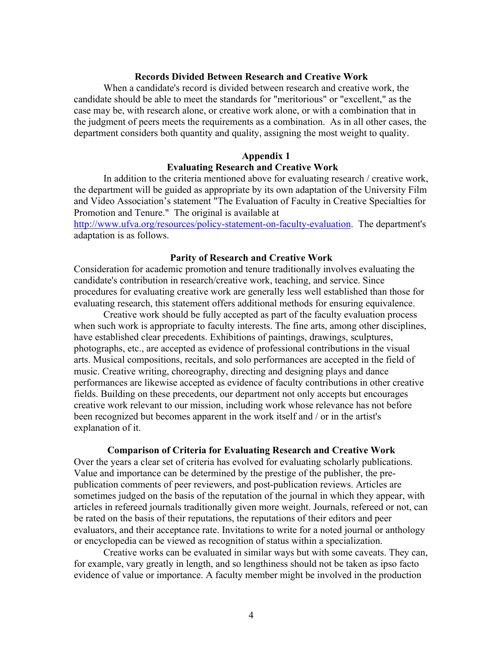# **Records Divided Between Research and Creative Work**

When a candidate's record is divided between research and creative work, the candidate should be able to meet the standards for "meritorious" or "excellent," as the case may be, with research alone, or creative work alone, or with a combination that in the judgment of peers meets the requirements as a combination. As in all other cases, the department considers both quantity and quality, assigning the most weight to quality.

# **Appendix 1**

# **Evaluating Research and Creative Work**

In addition to the criteria mentioned above for evaluating research / creative work, the department will be guided as appropriate by its own adaptation of the University Film and Video Association's statement "The Evaluation of Faculty in Creative Specialties for Promotion and Tenure." The original is available at

http://www.ufva.org/resources/policy-statement-on-faculty-evaluation. The department's adaptation is as follows.

### **Parity of Research and Creative Work**

Consideration for academic promotion and tenure traditionally involves evaluating the candidate's contribution in research/creative work, teaching, and service. Since procedures for evaluating creative work are generally less well established than those for evaluating research, this statement offers additional methods for ensuring equivalence.

Creative work should be fully accepted as part of the faculty evaluation process when such work is appropriate to faculty interests. The fine arts, among other disciplines, have established clear precedents. Exhibitions of paintings, drawings, sculptures, photographs, etc., are accepted as evidence of professional contributions in the visual arts. Musical compositions, recitals, and solo performances are accepted in the field of music. Creative writing, choreography, directing and designing plays and dance performances are likewise accepted as evidence of faculty contributions in other creative fields. Building on these precedents, our department not only accepts but encourages creative work relevant to our mission, including work whose relevance has not before been recognized but becomes apparent in the work itself and / or in the artist's explanation of it.

#### **Comparison of Criteria for Evaluating Research and Creative Work**

Over the years a clear set of criteria has evolved for evaluating scholarly publications. Value and importance can be determined by the prestige of the publisher, the prepublication comments of peer reviewers, and post-publication reviews. Articles are sometimes judged on the basis of the reputation of the journal in which they appear, with articles in refereed journals traditionally given more weight. Journals, refereed or not, can be rated on the basis of their reputations, the reputations of their editors and peer evaluators, and their acceptance rate. Invitations to write for a noted journal or anthology or encyclopedia can be viewed as recognition of status within a specialization.

Creative works can be evaluated in similar ways but with some caveats. They can, for example, vary greatly in length, and so lengthiness should not be taken as ipso facto evidence of value or importance. A faculty member might be involved in the production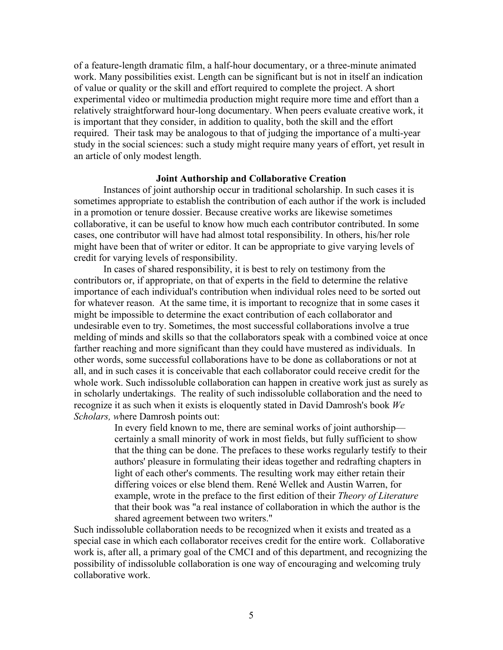of a feature-length dramatic film, a half-hour documentary, or a three-minute animated work. Many possibilities exist. Length can be significant but is not in itself an indication of value or quality or the skill and effort required to complete the project. A short experimental video or multimedia production might require more time and effort than a relatively straightforward hour-long documentary. When peers evaluate creative work, it is important that they consider, in addition to quality, both the skill and the effort required. Their task may be analogous to that of judging the importance of a multi-year study in the social sciences: such a study might require many years of effort, yet result in an article of only modest length.

## **Joint Authorship and Collaborative Creation**

Instances of joint authorship occur in traditional scholarship. In such cases it is sometimes appropriate to establish the contribution of each author if the work is included in a promotion or tenure dossier. Because creative works are likewise sometimes collaborative, it can be useful to know how much each contributor contributed. In some cases, one contributor will have had almost total responsibility. In others, his/her role might have been that of writer or editor. It can be appropriate to give varying levels of credit for varying levels of responsibility.

In cases of shared responsibility, it is best to rely on testimony from the contributors or, if appropriate, on that of experts in the field to determine the relative importance of each individual's contribution when individual roles need to be sorted out for whatever reason. At the same time, it is important to recognize that in some cases it might be impossible to determine the exact contribution of each collaborator and undesirable even to try. Sometimes, the most successful collaborations involve a true melding of minds and skills so that the collaborators speak with a combined voice at once farther reaching and more significant than they could have mustered as individuals. In other words, some successful collaborations have to be done as collaborations or not at all, and in such cases it is conceivable that each collaborator could receive credit for the whole work. Such indissoluble collaboration can happen in creative work just as surely as in scholarly undertakings. The reality of such indissoluble collaboration and the need to recognize it as such when it exists is eloquently stated in David Damrosh's book *We Scholars, w*here Damrosh points out:

> In every field known to me, there are seminal works of joint authorship certainly a small minority of work in most fields, but fully sufficient to show that the thing can be done. The prefaces to these works regularly testify to their authors' pleasure in formulating their ideas together and redrafting chapters in light of each other's comments. The resulting work may either retain their differing voices or else blend them. René Wellek and Austin Warren, for example, wrote in the preface to the first edition of their *Theory of Literature* that their book was "a real instance of collaboration in which the author is the shared agreement between two writers."

Such indissoluble collaboration needs to be recognized when it exists and treated as a special case in which each collaborator receives credit for the entire work. Collaborative work is, after all, a primary goal of the CMCI and of this department, and recognizing the possibility of indissoluble collaboration is one way of encouraging and welcoming truly collaborative work.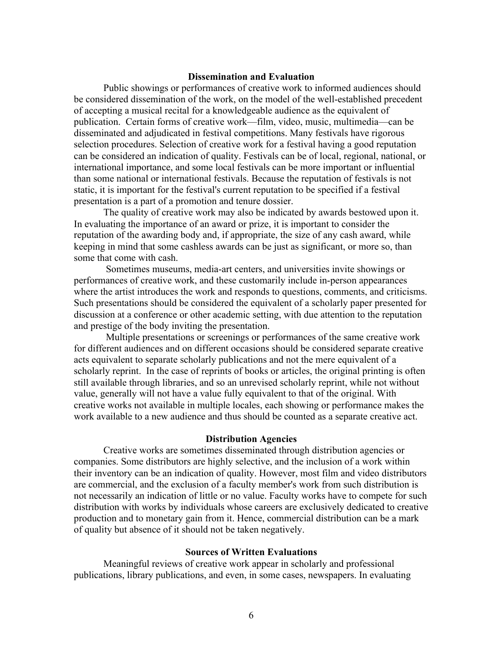# **Dissemination and Evaluation**

Public showings or performances of creative work to informed audiences should be considered dissemination of the work, on the model of the well-established precedent of accepting a musical recital for a knowledgeable audience as the equivalent of publication. Certain forms of creative work––film, video, music, multimedia––can be disseminated and adjudicated in festival competitions. Many festivals have rigorous selection procedures. Selection of creative work for a festival having a good reputation can be considered an indication of quality. Festivals can be of local, regional, national, or international importance, and some local festivals can be more important or influential than some national or international festivals. Because the reputation of festivals is not static, it is important for the festival's current reputation to be specified if a festival presentation is a part of a promotion and tenure dossier.

The quality of creative work may also be indicated by awards bestowed upon it. In evaluating the importance of an award or prize, it is important to consider the reputation of the awarding body and, if appropriate, the size of any cash award, while keeping in mind that some cashless awards can be just as significant, or more so, than some that come with cash.

Sometimes museums, media-art centers, and universities invite showings or performances of creative work, and these customarily include in-person appearances where the artist introduces the work and responds to questions, comments, and criticisms. Such presentations should be considered the equivalent of a scholarly paper presented for discussion at a conference or other academic setting, with due attention to the reputation and prestige of the body inviting the presentation.

Multiple presentations or screenings or performances of the same creative work for different audiences and on different occasions should be considered separate creative acts equivalent to separate scholarly publications and not the mere equivalent of a scholarly reprint. In the case of reprints of books or articles, the original printing is often still available through libraries, and so an unrevised scholarly reprint, while not without value, generally will not have a value fully equivalent to that of the original. With creative works not available in multiple locales, each showing or performance makes the work available to a new audience and thus should be counted as a separate creative act.

#### **Distribution Agencies**

Creative works are sometimes disseminated through distribution agencies or companies. Some distributors are highly selective, and the inclusion of a work within their inventory can be an indication of quality. However, most film and video distributors are commercial, and the exclusion of a faculty member's work from such distribution is not necessarily an indication of little or no value. Faculty works have to compete for such distribution with works by individuals whose careers are exclusively dedicated to creative production and to monetary gain from it. Hence, commercial distribution can be a mark of quality but absence of it should not be taken negatively.

# **Sources of Written Evaluations**

Meaningful reviews of creative work appear in scholarly and professional publications, library publications, and even, in some cases, newspapers. In evaluating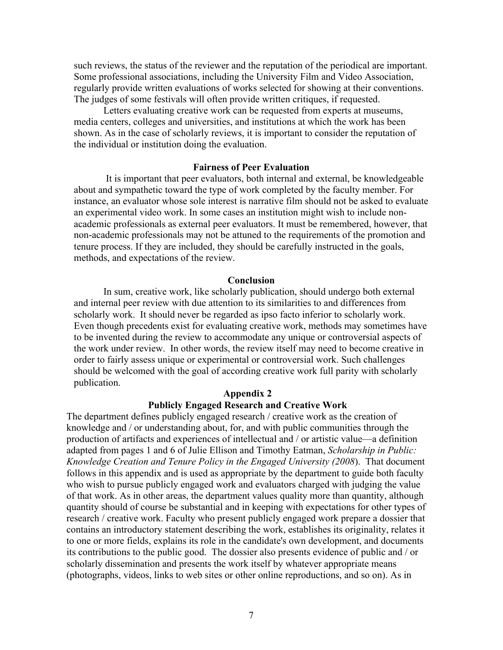such reviews, the status of the reviewer and the reputation of the periodical are important. Some professional associations, including the University Film and Video Association, regularly provide written evaluations of works selected for showing at their conventions. The judges of some festivals will often provide written critiques, if requested.

Letters evaluating creative work can be requested from experts at museums, media centers, colleges and universities, and institutions at which the work has been shown. As in the case of scholarly reviews, it is important to consider the reputation of the individual or institution doing the evaluation.

# **Fairness of Peer Evaluation**

It is important that peer evaluators, both internal and external, be knowledgeable about and sympathetic toward the type of work completed by the faculty member. For instance, an evaluator whose sole interest is narrative film should not be asked to evaluate an experimental video work. In some cases an institution might wish to include nonacademic professionals as external peer evaluators. It must be remembered, however, that non-academic professionals may not be attuned to the requirements of the promotion and tenure process. If they are included, they should be carefully instructed in the goals, methods, and expectations of the review.

#### **Conclusion**

In sum, creative work, like scholarly publication, should undergo both external and internal peer review with due attention to its similarities to and differences from scholarly work. It should never be regarded as ipso facto inferior to scholarly work. Even though precedents exist for evaluating creative work, methods may sometimes have to be invented during the review to accommodate any unique or controversial aspects of the work under review. In other words, the review itself may need to become creative in order to fairly assess unique or experimental or controversial work. Such challenges should be welcomed with the goal of according creative work full parity with scholarly publication.

# **Appendix 2 Publicly Engaged Research and Creative Work**

The department defines publicly engaged research / creative work as the creation of knowledge and / or understanding about, for, and with public communities through the production of artifacts and experiences of intellectual and / or artistic value––a definition adapted from pages 1 and 6 of Julie Ellison and Timothy Eatman, *Scholarship in Public: Knowledge Creation and Tenure Policy in the Engaged University (2008*). That document follows in this appendix and is used as appropriate by the department to guide both faculty who wish to pursue publicly engaged work and evaluators charged with judging the value of that work. As in other areas, the department values quality more than quantity, although quantity should of course be substantial and in keeping with expectations for other types of research / creative work. Faculty who present publicly engaged work prepare a dossier that contains an introductory statement describing the work, establishes its originality, relates it to one or more fields, explains its role in the candidate's own development, and documents its contributions to the public good. The dossier also presents evidence of public and / or scholarly dissemination and presents the work itself by whatever appropriate means (photographs, videos, links to web sites or other online reproductions, and so on). As in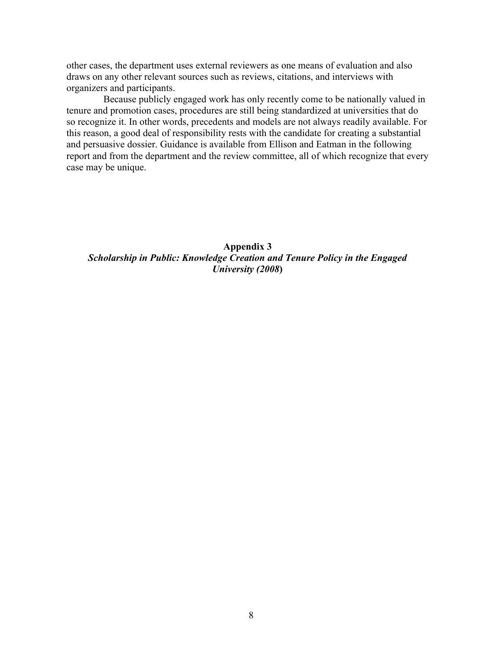other cases, the department uses external reviewers as one means of evaluation and also draws on any other relevant sources such as reviews, citations, and interviews with organizers and participants.

Because publicly engaged work has only recently come to be nationally valued in tenure and promotion cases, procedures are still being standardized at universities that do so recognize it. In other words, precedents and models are not always readily available. For this reason, a good deal of responsibility rests with the candidate for creating a substantial and persuasive dossier. Guidance is available from Ellison and Eatman in the following report and from the department and the review committee, all of which recognize that every case may be unique.

**Appendix 3** *Scholarship in Public: Knowledge Creation and Tenure Policy in the Engaged University (2008***)**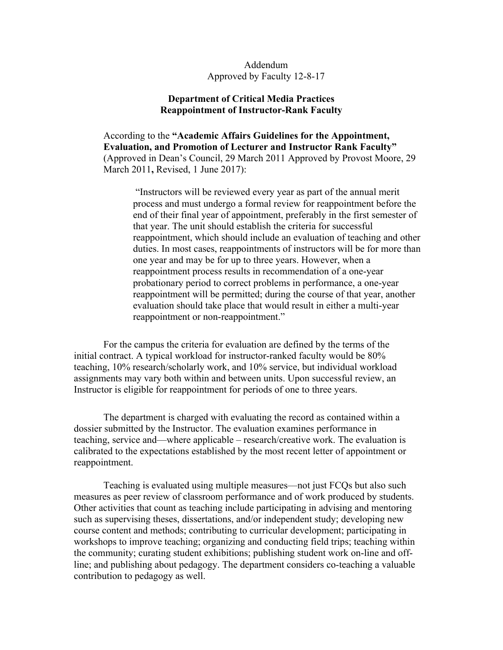# Addendum Approved by Faculty 12-8-17

# **Department of Critical Media Practices Reappointment of Instructor-Rank Faculty**

According to the **"Academic Affairs Guidelines for the Appointment, Evaluation, and Promotion of Lecturer and Instructor Rank Faculty"**  (Approved in Dean's Council, 29 March 2011 Approved by Provost Moore, 29 March 2011**,** Revised, 1 June 2017):

 "Instructors will be reviewed every year as part of the annual merit process and must undergo a formal review for reappointment before the end of their final year of appointment, preferably in the first semester of that year. The unit should establish the criteria for successful reappointment, which should include an evaluation of teaching and other duties. In most cases, reappointments of instructors will be for more than one year and may be for up to three years. However, when a reappointment process results in recommendation of a one-year probationary period to correct problems in performance, a one-year reappointment will be permitted; during the course of that year, another evaluation should take place that would result in either a multi-year reappointment or non-reappointment."

For the campus the criteria for evaluation are defined by the terms of the initial contract. A typical workload for instructor-ranked faculty would be 80% teaching, 10% research/scholarly work, and 10% service, but individual workload assignments may vary both within and between units. Upon successful review, an Instructor is eligible for reappointment for periods of one to three years.

The department is charged with evaluating the record as contained within a dossier submitted by the Instructor. The evaluation examines performance in teaching, service and––where applicable – research/creative work. The evaluation is calibrated to the expectations established by the most recent letter of appointment or reappointment.

Teaching is evaluated using multiple measures––not just FCQs but also such measures as peer review of classroom performance and of work produced by students. Other activities that count as teaching include participating in advising and mentoring such as supervising theses, dissertations, and/or independent study; developing new course content and methods; contributing to curricular development; participating in workshops to improve teaching; organizing and conducting field trips; teaching within the community; curating student exhibitions; publishing student work on-line and offline; and publishing about pedagogy. The department considers co-teaching a valuable contribution to pedagogy as well.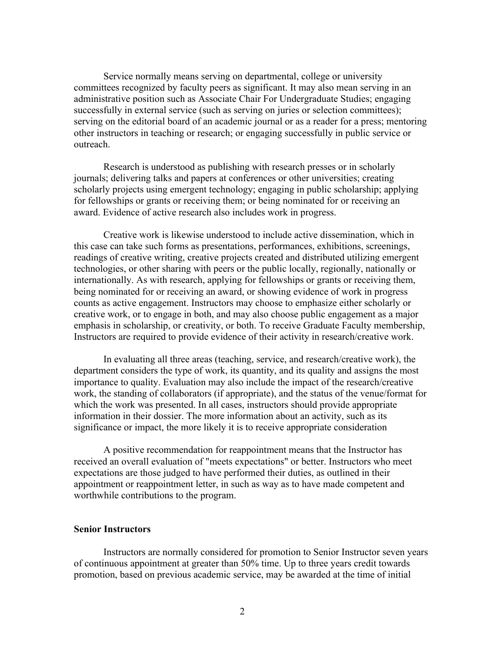Service normally means serving on departmental, college or university committees recognized by faculty peers as significant. It may also mean serving in an administrative position such as Associate Chair For Undergraduate Studies; engaging successfully in external service (such as serving on juries or selection committees); serving on the editorial board of an academic journal or as a reader for a press; mentoring other instructors in teaching or research; or engaging successfully in public service or outreach.

Research is understood as publishing with research presses or in scholarly journals; delivering talks and papers at conferences or other universities; creating scholarly projects using emergent technology; engaging in public scholarship; applying for fellowships or grants or receiving them; or being nominated for or receiving an award. Evidence of active research also includes work in progress.

Creative work is likewise understood to include active dissemination, which in this case can take such forms as presentations, performances, exhibitions, screenings, readings of creative writing, creative projects created and distributed utilizing emergent technologies, or other sharing with peers or the public locally, regionally, nationally or internationally. As with research, applying for fellowships or grants or receiving them, being nominated for or receiving an award, or showing evidence of work in progress counts as active engagement. Instructors may choose to emphasize either scholarly or creative work, or to engage in both, and may also choose public engagement as a major emphasis in scholarship, or creativity, or both. To receive Graduate Faculty membership, Instructors are required to provide evidence of their activity in research/creative work.

In evaluating all three areas (teaching, service, and research/creative work), the department considers the type of work, its quantity, and its quality and assigns the most importance to quality. Evaluation may also include the impact of the research/creative work, the standing of collaborators (if appropriate), and the status of the venue/format for which the work was presented. In all cases, instructors should provide appropriate information in their dossier. The more information about an activity, such as its significance or impact, the more likely it is to receive appropriate consideration

A positive recommendation for reappointment means that the Instructor has received an overall evaluation of "meets expectations" or better. Instructors who meet expectations are those judged to have performed their duties, as outlined in their appointment or reappointment letter, in such as way as to have made competent and worthwhile contributions to the program.

#### **Senior Instructors**

Instructors are normally considered for promotion to Senior Instructor seven years of continuous appointment at greater than 50% time. Up to three years credit towards promotion, based on previous academic service, may be awarded at the time of initial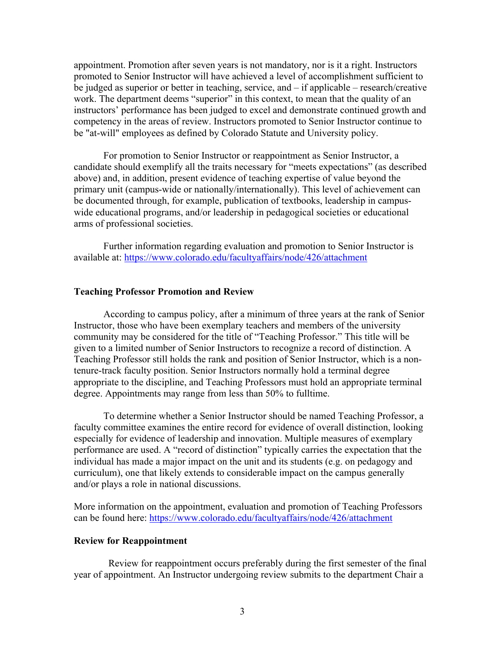appointment. Promotion after seven years is not mandatory, nor is it a right. Instructors promoted to Senior Instructor will have achieved a level of accomplishment sufficient to be judged as superior or better in teaching, service, and – if applicable – research/creative work. The department deems "superior" in this context, to mean that the quality of an instructors' performance has been judged to excel and demonstrate continued growth and competency in the areas of review. Instructors promoted to Senior Instructor continue to be "at-will" employees as defined by Colorado Statute and University policy.

For promotion to Senior Instructor or reappointment as Senior Instructor, a candidate should exemplify all the traits necessary for "meets expectations" (as described above) and, in addition, present evidence of teaching expertise of value beyond the primary unit (campus-wide or nationally/internationally). This level of achievement can be documented through, for example, publication of textbooks, leadership in campuswide educational programs, and/or leadership in pedagogical societies or educational arms of professional societies.

Further information regarding evaluation and promotion to Senior Instructor is available at: https://www.colorado.edu/facultyaffairs/node/426/attachment

#### **Teaching Professor Promotion and Review**

According to campus policy, after a minimum of three years at the rank of Senior Instructor, those who have been exemplary teachers and members of the university community may be considered for the title of "Teaching Professor." This title will be given to a limited number of Senior Instructors to recognize a record of distinction. A Teaching Professor still holds the rank and position of Senior Instructor, which is a nontenure-track faculty position. Senior Instructors normally hold a terminal degree appropriate to the discipline, and Teaching Professors must hold an appropriate terminal degree. Appointments may range from less than 50% to fulltime.

To determine whether a Senior Instructor should be named Teaching Professor, a faculty committee examines the entire record for evidence of overall distinction, looking especially for evidence of leadership and innovation. Multiple measures of exemplary performance are used. A "record of distinction" typically carries the expectation that the individual has made a major impact on the unit and its students (e.g. on pedagogy and curriculum), one that likely extends to considerable impact on the campus generally and/or plays a role in national discussions.

More information on the appointment, evaluation and promotion of Teaching Professors can be found here: https://www.colorado.edu/facultyaffairs/node/426/attachment

## **Review for Reappointment**

 Review for reappointment occurs preferably during the first semester of the final year of appointment. An Instructor undergoing review submits to the department Chair a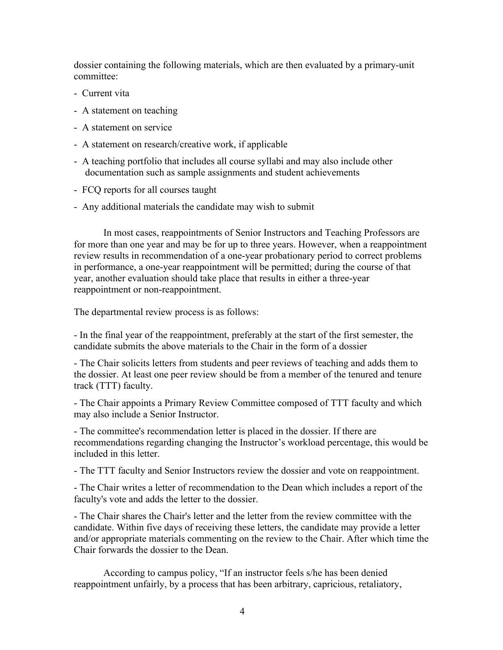dossier containing the following materials, which are then evaluated by a primary-unit committee:

- Current vita
- A statement on teaching
- A statement on service
- A statement on research/creative work, if applicable
- A teaching portfolio that includes all course syllabi and may also include other documentation such as sample assignments and student achievements
- FCQ reports for all courses taught
- Any additional materials the candidate may wish to submit

In most cases, reappointments of Senior Instructors and Teaching Professors are for more than one year and may be for up to three years. However, when a reappointment review results in recommendation of a one-year probationary period to correct problems in performance, a one-year reappointment will be permitted; during the course of that year, another evaluation should take place that results in either a three-year reappointment or non-reappointment.

The departmental review process is as follows:

- In the final year of the reappointment, preferably at the start of the first semester, the candidate submits the above materials to the Chair in the form of a dossier

- The Chair solicits letters from students and peer reviews of teaching and adds them to the dossier. At least one peer review should be from a member of the tenured and tenure track (TTT) faculty.

- The Chair appoints a Primary Review Committee composed of TTT faculty and which may also include a Senior Instructor.

- The committee's recommendation letter is placed in the dossier. If there are recommendations regarding changing the Instructor's workload percentage, this would be included in this letter.

- The TTT faculty and Senior Instructors review the dossier and vote on reappointment.

- The Chair writes a letter of recommendation to the Dean which includes a report of the faculty's vote and adds the letter to the dossier.

- The Chair shares the Chair's letter and the letter from the review committee with the candidate. Within five days of receiving these letters, the candidate may provide a letter and/or appropriate materials commenting on the review to the Chair. After which time the Chair forwards the dossier to the Dean.

According to campus policy, "If an instructor feels s/he has been denied reappointment unfairly, by a process that has been arbitrary, capricious, retaliatory,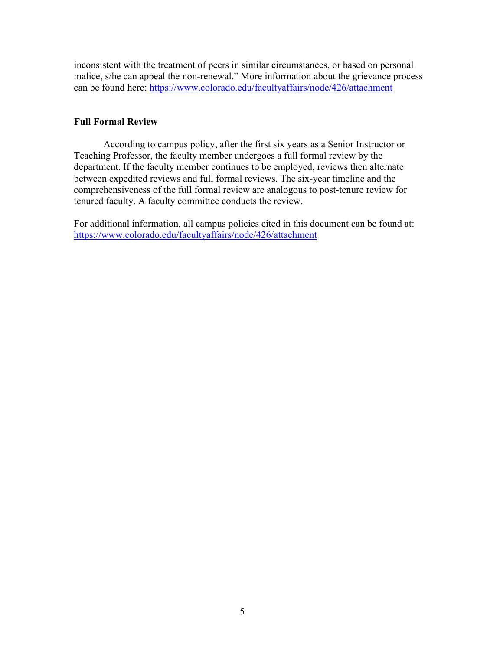inconsistent with the treatment of peers in similar circumstances, or based on personal malice, s/he can appeal the non-renewal." More information about the grievance process can be found here: https://www.colorado.edu/facultyaffairs/node/426/attachment

# **Full Formal Review**

According to campus policy, after the first six years as a Senior Instructor or Teaching Professor, the faculty member undergoes a full formal review by the department. If the faculty member continues to be employed, reviews then alternate between expedited reviews and full formal reviews. The six-year timeline and the comprehensiveness of the full formal review are analogous to post-tenure review for tenured faculty. A faculty committee conducts the review.

For additional information, all campus policies cited in this document can be found at: https://www.colorado.edu/facultyaffairs/node/426/attachment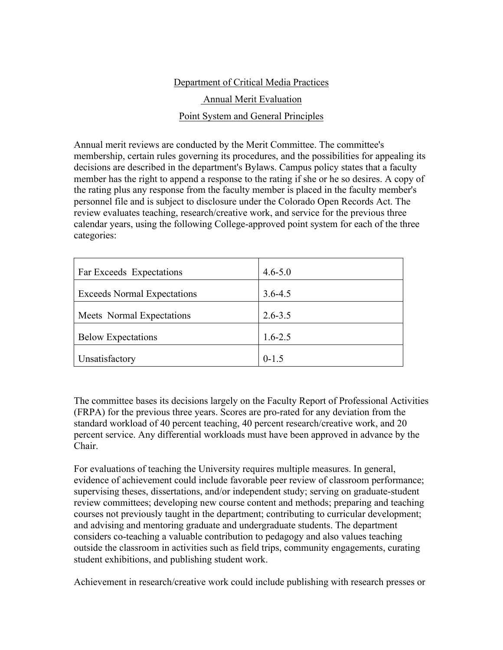# Department of Critical Media Practices

# Annual Merit Evaluation

# Point System and General Principles

Annual merit reviews are conducted by the Merit Committee. The committee's membership, certain rules governing its procedures, and the possibilities for appealing its decisions are described in the department's Bylaws. Campus policy states that a faculty member has the right to append a response to the rating if she or he so desires. A copy of the rating plus any response from the faculty member is placed in the faculty member's personnel file and is subject to disclosure under the Colorado Open Records Act. The review evaluates teaching, research/creative work, and service for the previous three calendar years, using the following College-approved point system for each of the three categories:

| Far Exceeds Expectations           | $4.6 - 5.0$ |
|------------------------------------|-------------|
| <b>Exceeds Normal Expectations</b> | $3.6 - 4.5$ |
| Meets Normal Expectations          | $2.6 - 3.5$ |
| <b>Below Expectations</b>          | $1.6 - 2.5$ |
| Unsatisfactory                     | $0 - 1.5$   |

The committee bases its decisions largely on the Faculty Report of Professional Activities (FRPA) for the previous three years. Scores are pro-rated for any deviation from the standard workload of 40 percent teaching, 40 percent research/creative work, and 20 percent service. Any differential workloads must have been approved in advance by the Chair.

For evaluations of teaching the University requires multiple measures. In general, evidence of achievement could include favorable peer review of classroom performance; supervising theses, dissertations, and/or independent study; serving on graduate-student review committees; developing new course content and methods; preparing and teaching courses not previously taught in the department; contributing to curricular development; and advising and mentoring graduate and undergraduate students. The department considers co-teaching a valuable contribution to pedagogy and also values teaching outside the classroom in activities such as field trips, community engagements, curating student exhibitions, and publishing student work.

Achievement in research/creative work could include publishing with research presses or